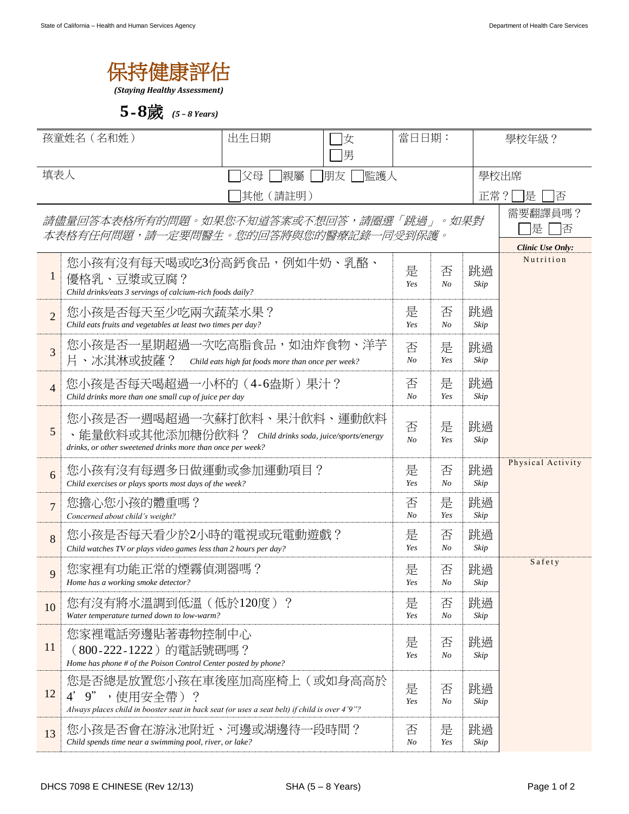

*(Staying Healthy Assessment)*

**5**-**8**歲 *(5 – 8 Years)*

| 孩童姓名 (名和姓)     |                                                                                                                                                    | 出生日期<br>女<br>男      |                     | 當日日期:      |                                                        |            | 學校年級?  |  |
|----------------|----------------------------------------------------------------------------------------------------------------------------------------------------|---------------------|---------------------|------------|--------------------------------------------------------|------------|--------|--|
| 填表人            |                                                                                                                                                    | 親屬<br>父母<br>其他(請註明) | 朋友<br> 監護人          |            |                                                        |            | 學校出席   |  |
|                | 請儘量回答本表格所有的問題。如果您不知道答案或不想回答,請圈選「跳過」。如果對<br>本表格有任何問題,請一定要問醫生。您的回答將與您的醫療記錄一同受到保護。                                                                    |                     |                     | 正常?        | 是<br>俖<br>需要翻譯員嗎?<br>是<br>俖<br><b>Clinic Use Only:</b> |            |        |  |
| $\mathbf{1}$   | 您小孩有沒有每天喝或吃3份高鈣食品,例如牛奶、乳酪、<br>優格乳、豆漿或豆腐?<br>Child drinks/eats 3 servings of calcium-rich foods daily?                                              | 是<br>Yes            | 否<br>$N_{O}$        | 跳過<br>Skip | Nutrition                                              |            |        |  |
| $\overline{2}$ | 您小孩是否每天至少吃兩次蔬菜水果?<br>Child eats fruits and vegetables at least two times per day?                                                                  | 是<br>Yes            | 否<br>N <sub>O</sub> | 跳過<br>Skip |                                                        |            |        |  |
| $\overline{3}$ | 您小孩是否一星期超過一次吃高脂食品,如油炸食物、洋芋<br>片、冰淇淋或披薩?<br>Child eats high fat foods more than once per week?                                                      |                     |                     |            | 是<br>Yes                                               | 跳過<br>Skip |        |  |
| $\overline{4}$ | 您小孩是否每天喝超過一小杯的 (4-6盎斯) 果汁?<br>Child drinks more than one small cup of juice per day                                                                |                     |                     |            | 是<br>Yes                                               | 跳過<br>Skip |        |  |
| 5              | 您小孩是否一週喝超過一次蘇打飲料、果汁飲料、運動飲料<br>、能量飲料或其他添加糖份飲料? Child drinks soda, juice/sports/energy<br>drinks, or other sweetened drinks more than once per week? | 否<br>N <sub>O</sub> | 是<br>Yes            | 跳過<br>Skip |                                                        |            |        |  |
| 6              | 您小孩有沒有每週多日做運動或參加運動項目?<br>Child exercises or plays sports most days of the week?                                                                    | 是<br>Yes            | 否<br>N <sub>O</sub> | 跳過<br>Skip | Physical Activity                                      |            |        |  |
| $\overline{7}$ | 您擔心您小孩的體重嗎?<br>Concerned about child's weight?                                                                                                     | 否<br>N <sub>o</sub> | 是<br>Yes            | 跳過<br>Skip |                                                        |            |        |  |
| 8              | 您小孩是否每天看少於2小時的電視或玩電動遊戲?<br>Child watches TV or plays video games less than 2 hours per day?                                                        | 是<br>Yes            | 否<br>No             | 跳過<br>Skip |                                                        |            |        |  |
| 9              | 您家裡有功能正常的煙霧偵測器嗎?<br>Home has a working smoke detector?                                                                                             |                     |                     |            | 否<br>N <sub>O</sub>                                    | 跳過<br>Skip | Safety |  |
| 10             | 您有沒有將水溫調到低溫(低於120度)?<br>Water temperature turned down to low-warm?                                                                                 | 是<br>Yes            | 否<br>N <sub>O</sub> | 跳過<br>Skip |                                                        |            |        |  |
| 11             | 您家裡電話旁邊貼著毒物控制中心<br>(800-222-1222)的電話號碼嗎?<br>Home has phone # of the Poison Control Center posted by phone?                                         | 是<br>Yes            | 否<br>No             | 跳過<br>Skip |                                                        |            |        |  |
| 12             | 您是否總是放置您小孩在車後座加高座椅上(或如身高高於<br>,使用安全帶)?<br>9"<br>Always places child in booster seat in back seat (or uses a seat belt) if child is over 4'9"?      | 是<br>Yes            | 否<br>N <sub>O</sub> | 跳過<br>Skip |                                                        |            |        |  |
| 13             | 您小孩是否會在游泳池附近、河邊或湖邊待一段時間?<br>Child spends time near a swimming pool, river, or lake?                                                                | 否<br>No             | 是<br>Yes            | 跳過<br>Skip |                                                        |            |        |  |